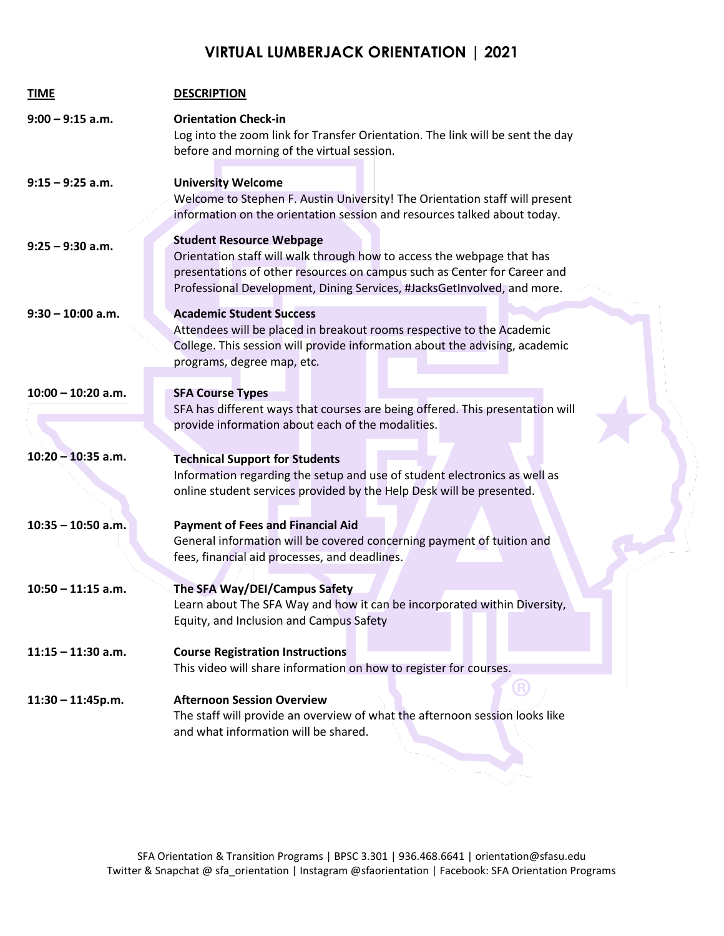## **VIRTUAL LUMBERJACK ORIENTATION | 2021**

| <b>TIME</b>          | <b>DESCRIPTION</b>                                                                                                                                                                                                                                               |
|----------------------|------------------------------------------------------------------------------------------------------------------------------------------------------------------------------------------------------------------------------------------------------------------|
| $9:00 - 9:15$ a.m.   | <b>Orientation Check-in</b><br>Log into the zoom link for Transfer Orientation. The link will be sent the day<br>before and morning of the virtual session.                                                                                                      |
| $9:15 - 9:25$ a.m.   | <b>University Welcome</b><br>Welcome to Stephen F. Austin University! The Orientation staff will present<br>information on the orientation session and resources talked about today.                                                                             |
| $9:25 - 9:30$ a.m.   | <b>Student Resource Webpage</b><br>Orientation staff will walk through how to access the webpage that has<br>presentations of other resources on campus such as Center for Career and<br>Professional Development, Dining Services, #JacksGetInvolved, and more. |
| $9:30 - 10:00$ a.m.  | <b>Academic Student Success</b><br>Attendees will be placed in breakout rooms respective to the Academic<br>College. This session will provide information about the advising, academic<br>programs, degree map, etc.                                            |
| $10:00 - 10:20$ a.m. | <b>SFA Course Types</b><br>SFA has different ways that courses are being offered. This presentation will<br>provide information about each of the modalities.                                                                                                    |
| $10:20 - 10:35$ a.m. | <b>Technical Support for Students</b><br>Information regarding the setup and use of student electronics as well as<br>online student services provided by the Help Desk will be presented.                                                                       |
| $10:35 - 10:50$ a.m. | <b>Payment of Fees and Financial Aid</b><br>General information will be covered concerning payment of tuition and<br>fees, financial aid processes, and deadlines.                                                                                               |
| $10:50 - 11:15$ a.m. | The SFA Way/DEI/Campus Safety<br>Learn about The SFA Way and how it can be incorporated within Diversity,<br>Equity, and Inclusion and Campus Safety                                                                                                             |
| $11:15 - 11:30$ a.m. | <b>Course Registration Instructions</b><br>This video will share information on how to register for courses.                                                                                                                                                     |
| $11:30 - 11:45p.m.$  | <b>Afternoon Session Overview</b><br>The staff will provide an overview of what the afternoon session looks like<br>and what information will be shared.                                                                                                         |